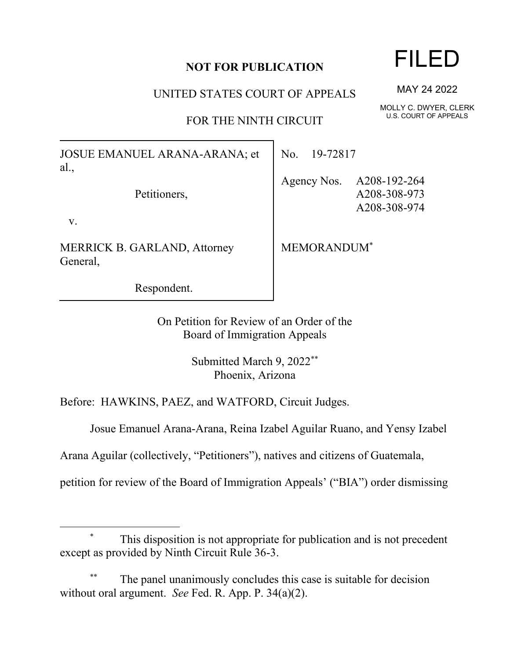## **NOT FOR PUBLICATION**

UNITED STATES COURT OF APPEALS

FOR THE NINTH CIRCUIT

JOSUE EMANUEL ARANA-ARANA; et al.,

Petitioners,

v.

MERRICK B. GARLAND, Attorney General,

Respondent.

No. 19-72817

Agency Nos. A208-192-264 A208-308-973 A208-308-974

MEMORANDUM\*

On Petition for Review of an Order of the Board of Immigration Appeals

> Submitted March 9, 2022\*\* Phoenix, Arizona

Before: HAWKINS, PAEZ, and WATFORD, Circuit Judges.

Josue Emanuel Arana-Arana, Reina Izabel Aguilar Ruano, and Yensy Izabel

Arana Aguilar (collectively, "Petitioners"), natives and citizens of Guatemala,

petition for review of the Board of Immigration Appeals' ("BIA") order dismissing

## This disposition is not appropriate for publication and is not precedent except as provided by Ninth Circuit Rule 36-3.

The panel unanimously concludes this case is suitable for decision without oral argument. *See* Fed. R. App. P. 34(a)(2).

## FILED

MAY 24 2022

MOLLY C. DWYER, CLERK U.S. COURT OF APPEALS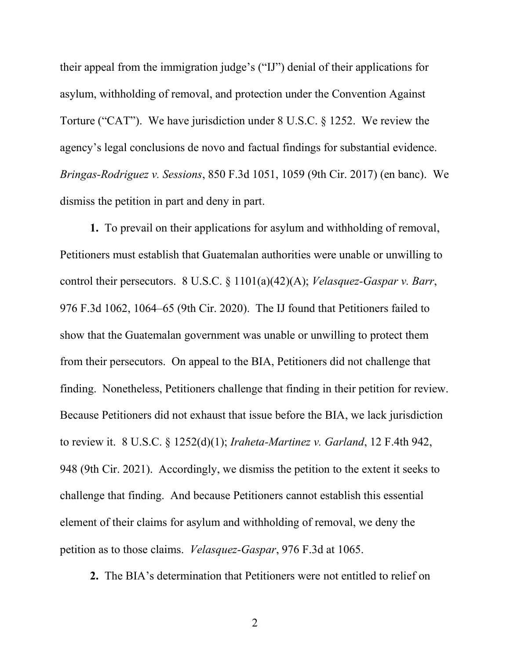their appeal from the immigration judge's ("IJ") denial of their applications for asylum, withholding of removal, and protection under the Convention Against Torture ("CAT"). We have jurisdiction under 8 U.S.C. § 1252. We review the agency's legal conclusions de novo and factual findings for substantial evidence. *Bringas-Rodriguez v. Sessions*, 850 F.3d 1051, 1059 (9th Cir. 2017) (en banc).We dismiss the petition in part and deny in part.

**1.** To prevail on their applications for asylum and withholding of removal, Petitioners must establish that Guatemalan authorities were unable or unwilling to control their persecutors. 8 U.S.C. § 1101(a)(42)(A); *Velasquez-Gaspar v. Barr*, 976 F.3d 1062, 1064–65 (9th Cir. 2020). The IJ found that Petitioners failed to show that the Guatemalan government was unable or unwilling to protect them from their persecutors. On appeal to the BIA, Petitioners did not challenge that finding. Nonetheless, Petitioners challenge that finding in their petition for review. Because Petitioners did not exhaust that issue before the BIA, we lack jurisdiction to review it. 8 U.S.C. § 1252(d)(1); *Iraheta-Martinez v. Garland*, 12 F.4th 942, 948 (9th Cir. 2021). Accordingly, we dismiss the petition to the extent it seeks to challenge that finding. And because Petitioners cannot establish this essential element of their claims for asylum and withholding of removal, we deny the petition as to those claims. *Velasquez-Gaspar*, 976 F.3d at 1065.

**2.** The BIA's determination that Petitioners were not entitled to relief on

2 a set of  $\sim$  2 a set of  $\sim$  2 a set of  $\sim$  2 a set of  $\sim$  3 a set of  $\sim$  3 a set of  $\sim$  3 a set of  $\sim$  3 a set of  $\sim$  3 a set of  $\sim$  3 a set of  $\sim$  3 a set of  $\sim$  3 a set of  $\sim$  3 a set of  $\sim$  3 a set of  $\sim$